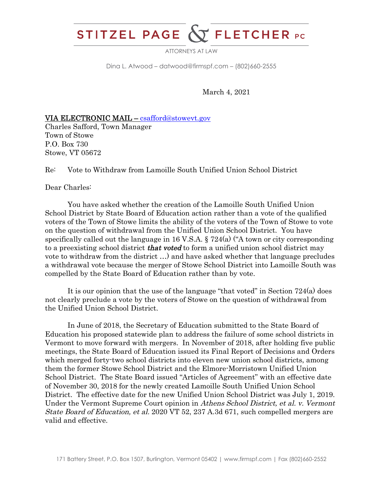## STITZEL PAGE ( FLETCHER PC

ATTORNEYS AT LAW

Dina L. Atwood – datwood@firmspf.com – (802)660-2555

March 4, 2021

## VIA ELECTRONIC MAIL – csafford@stowevt.gov

Charles Safford, Town Manager Town of Stowe P.O. Box 730 Stowe, VT 05672

Re: Vote to Withdraw from Lamoille South Unified Union School District

Dear Charles:

You have asked whether the creation of the Lamoille South Unified Union School District by State Board of Education action rather than a vote of the qualified voters of the Town of Stowe limits the ability of the voters of the Town of Stowe to vote on the question of withdrawal from the Unified Union School District. You have specifically called out the language in 16 V.S.A.  $\S$  724(a) ("A town or city corresponding to a preexisting school district **that voted** to form a unified union school district may vote to withdraw from the district …) and have asked whether that language precludes a withdrawal vote because the merger of Stowe School District into Lamoille South was compelled by the State Board of Education rather than by vote.

It is our opinion that the use of the language "that voted" in Section 724(a) does not clearly preclude a vote by the voters of Stowe on the question of withdrawal from the Unified Union School District.

In June of 2018, the Secretary of Education submitted to the State Board of Education his proposed statewide plan to address the failure of some school districts in Vermont to move forward with mergers. In November of 2018, after holding five public meetings, the State Board of Education issued its Final Report of Decisions and Orders which merged forty-two school districts into eleven new union school districts, among them the former Stowe School District and the Elmore-Morristown Unified Union School District. The State Board issued "Articles of Agreement" with an effective date of November 30, 2018 for the newly created Lamoille South Unified Union School District. The effective date for the new Unified Union School District was July 1, 2019. Under the Vermont Supreme Court opinion in Athens School District, et al. v. Vermont State Board of Education, et al. 2020 VT 52, 237 A.3d 671, such compelled mergers are valid and effective.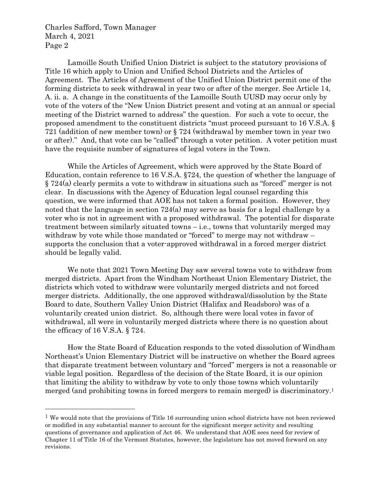Charles Safford, Town Manager March 4, 2021 Page 2

Lamoille South Unified Union District is subject to the statutory provisions of Title 16 which apply to Union and Unified School Districts and the Articles of Agreement. The Articles of Agreement of the Unified Union District permit one of the forming districts to seek withdrawal in year two or after of the merger. See Article 14, A. ii. a. A change in the constituents of the Lamoille South UUSD may occur only by vote of the voters of the "New Union District present and voting at an annual or special meeting of the District warned to address" the question. For such a vote to occur, the proposed amendment to the constituent districts "must proceed pursuant to 16 V.S.A. § 721 (addition of new member town) or § 724 (withdrawal by member town in year two or after)." And, that vote can be "called" through a voter petition. A voter petition must have the requisite number of signatures of legal voters in the Town.

While the Articles of Agreement, which were approved by the State Board of Education, contain reference to 16 V.S.A. §724, the question of whether the language of § 724(a) clearly permits a vote to withdraw in situations such as "forced" merger is not clear. In discussions with the Agency of Education legal counsel regarding this question, we were informed that AOE has not taken a formal position. However, they noted that the language in section 724(a) may serve as basis for a legal challenge by a voter who is not in agreement with a proposed withdrawal. The potential for disparate treatment between similarly situated towns – i.e., towns that voluntarily merged may withdraw by vote while those mandated or "forced" to merge may not withdraw – supports the conclusion that a voter-approved withdrawal in a forced merger district should be legally valid.

We note that 2021 Town Meeting Day saw several towns vote to withdraw from merged districts. Apart from the Windham Northeast Union Elementary District, the districts which voted to withdraw were voluntarily merged districts and not forced merger districts. Additionally, the one approved withdrawal/dissolution by the State Board to date, Southern Valley Union District (Halifax and Readsboro) was of a voluntarily created union district. So, although there were local votes in favor of withdrawal, all were in voluntarily merged districts where there is no question about the efficacy of 16 V.S.A. § 724.

How the State Board of Education responds to the voted dissolution of Windham Northeast's Union Elementary District will be instructive on whether the Board agrees that disparate treatment between voluntary and "forced" mergers is not a reasonable or viable legal position. Regardless of the decision of the State Board, it is our opinion that limiting the ability to withdraw by vote to only those towns which voluntarily merged (and prohibiting towns in forced mergers to remain merged) is discriminatory.<sup>1</sup>

<sup>1</sup> We would note that the provisions of Title 16 surrounding union school districts have not been reviewed or modified in any substantial manner to account for the significant merger activity and resulting questions of governance and application of Act 46. We understand that AOE sees need for review of Chapter 11 of Title 16 of the Vermont Statutes, however, the legislature has not moved forward on any revisions.